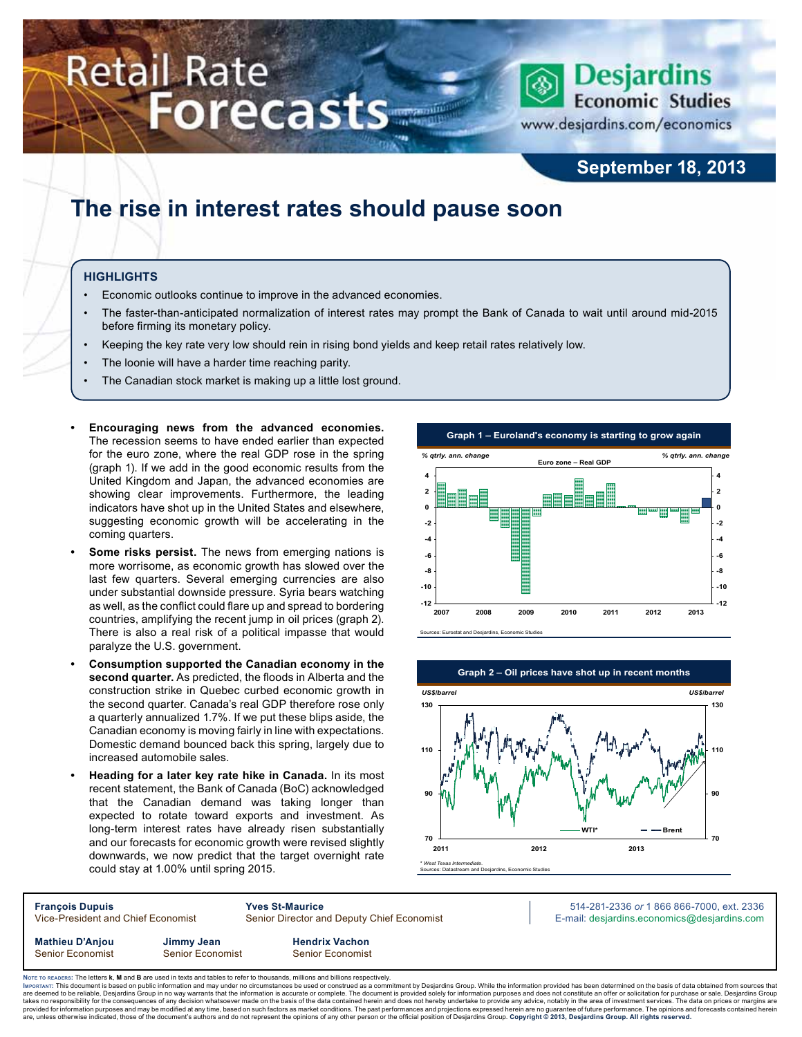# **Retail Rate Forecasts**



www.desjardins.com/economics

## **September 18, 2013**

## **The rise in interest rates should pause soon**

#### **Highlights**

- Economic outlooks continue to improve in the advanced economies.
- The faster-than-anticipated normalization of interest rates may prompt the Bank of Canada to wait until around mid-2015 before firming its monetary policy.
- Keeping the key rate very low should rein in rising bond yields and keep retail rates relatively low.
- The loonie will have a harder time reaching parity.
- The Canadian stock market is making up a little lost ground.
- Encouraging news from the advanced economies. The recession seems to have ended earlier than expected for the euro zone, where the real GDP rose in the spring (graph 1). If we add in the good economic results from the United Kingdom and Japan, the advanced economies are showing clear improvements. Furthermore, the leading indicators have shot up in the United States and elsewhere, suggesting economic growth will be accelerating in the coming quarters.
- **Some risks persist.** The news from emerging nations is more worrisome, as economic growth has slowed over the last few quarters. Several emerging currencies are also under substantial downside pressure. Syria bears watching as well, as the conflict could flare up and spread to bordering countries, amplifying the recent jump in oil prices (graph 2). There is also a real risk of a political impasse that would paralyze the U.S. government.
- **• Consumption supported the Canadian economy in the second quarter.** As predicted, the floods in Alberta and the construction strike in Quebec curbed economic growth in the second quarter. Canada's real GDP therefore rose only a quarterly annualized 1.7%. If we put these blips aside, the Canadian economy is moving fairly in line with expectations. Domestic demand bounced back this spring, largely due to increased automobile sales.
- **Heading for a later key rate hike in Canada.** In its most recent statement, the Bank of Canada (BoC) acknowledged that the Canadian demand was taking longer than expected to rotate toward exports and investment. As long-term interest rates have already risen substantially and our forecasts for economic growth were revised slightly downwards, we now predict that the target overnight rate could stay at 1.00% until spring 2015.





| <b>François Dupuis</b>             |                  | <b>Yves St-Maurice</b>                                                                                                          | 514-281-2336 or 1 866 866-7000, ext. 2336                                                                                                                                                                                                                                                                                                                                                |
|------------------------------------|------------------|---------------------------------------------------------------------------------------------------------------------------------|------------------------------------------------------------------------------------------------------------------------------------------------------------------------------------------------------------------------------------------------------------------------------------------------------------------------------------------------------------------------------------------|
| Vice-President and Chief Economist |                  | Senior Director and Deputy Chief Economist                                                                                      | E-mail: desjardins.economics@desjardins.com                                                                                                                                                                                                                                                                                                                                              |
| <b>Mathieu D'Anjou</b>             | Jimmy Jean       | <b>Hendrix Vachon</b>                                                                                                           |                                                                                                                                                                                                                                                                                                                                                                                          |
| <b>Senior Economist</b>            | Senior Economist | Senior Economist                                                                                                                |                                                                                                                                                                                                                                                                                                                                                                                          |
|                                    |                  | Note to reapers: The letters k, M and B are used in texts and tables to refer to thousands, millions and billions respectively. | IMPORTANT: This document is based on public information and may under no circumstances be used or construed as a commitment by Desjardins Group. While the information provided has been determined on the basis of data obtai<br>In a contributed and a common that because the common what we are all the beach and an analyzed a common common the common common and the second and a |

are deemed to be reliable, Desjardins Group in no way warrants that the information is accurate or complete. The document is provided solely for information purposes and does not constitute an offer or solicitation for pur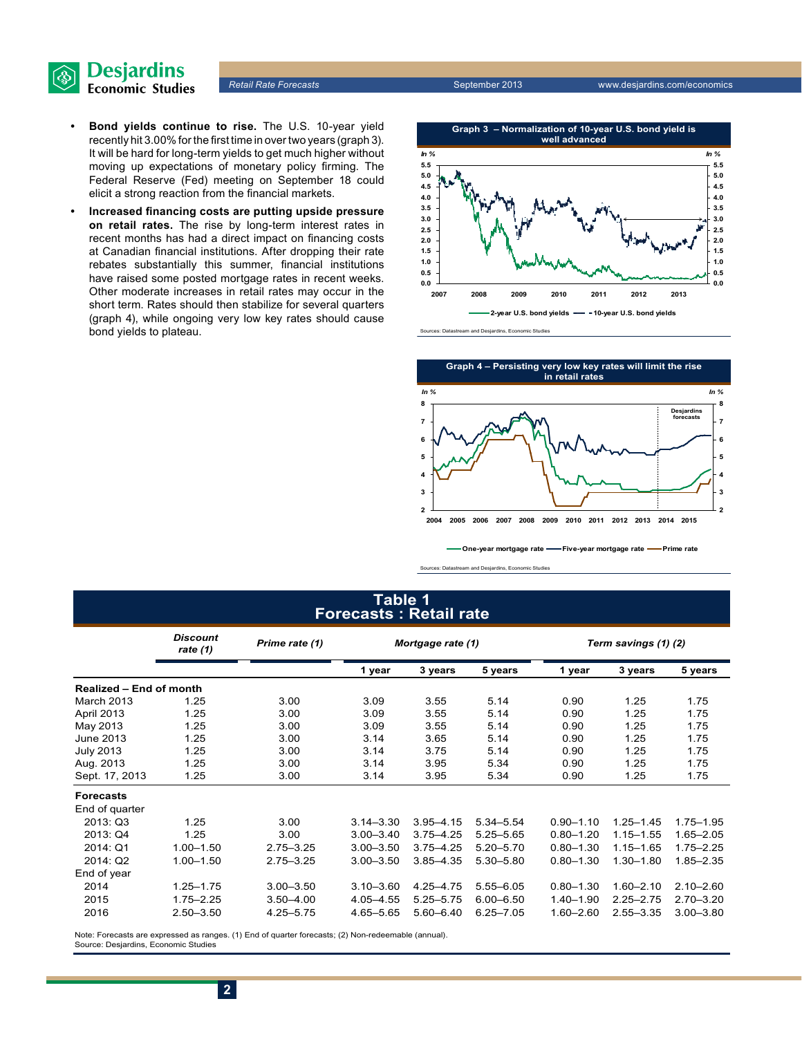

- **• Bond yields continue to rise.** The U.S. 10-year yield recently hit 3.00% for the first time in over two years (graph 3). It will be hard for long-term yields to get much higher without moving up expectations of monetary policy firming. The Federal Reserve (Fed) meeting on September 18 could elicit a strong reaction from the financial markets.
- **• Increased financing costs are putting upside pressure on retail rates.** The rise by long-term interest rates in recent months has had a direct impact on financing costs at Canadian financial institutions. After dropping their rate rebates substantially this summer, financial institutions have raised some posted mortgage rates in recent weeks. Other moderate increases in retail rates may occur in the short term. Rates should then stabilize for several quarters (graph 4), while ongoing very low key rates should cause bond yields to plateau.



m and Desjardins, Economic Studies



**One-year mortgage rate Five-year mortgage rate Prime rate**

Sources: Datastream and Desjardins, Economic Studies

## **Table 1 Forecasts : Retail rate**

|                         | <b>Discount</b><br>rate $(1)$ | Prime rate (1) | Mortgage rate (1) |               | Term savings (1) (2) |               |               |               |
|-------------------------|-------------------------------|----------------|-------------------|---------------|----------------------|---------------|---------------|---------------|
|                         |                               |                | 1 year            | 3 years       | 5 years              | 1 year        | 3 years       | 5 years       |
| Realized - End of month |                               |                |                   |               |                      |               |               |               |
| March 2013              | 1.25                          | 3.00           | 3.09              | 3.55          | 5.14                 | 0.90          | 1.25          | 1.75          |
| April 2013              | 1.25                          | 3.00           | 3.09              | 3.55          | 5.14                 | 0.90          | 1.25          | 1.75          |
| May 2013                | 1.25                          | 3.00           | 3.09              | 3.55          | 5.14                 | 0.90          | 1.25          | 1.75          |
| June 2013               | 1.25                          | 3.00           | 3.14              | 3.65          | 5.14                 | 0.90          | 1.25          | 1.75          |
| <b>July 2013</b>        | 1.25                          | 3.00           | 3.14              | 3.75          | 5.14                 | 0.90          | 1.25          | 1.75          |
| Aug. 2013               | 1.25                          | 3.00           | 3.14              | 3.95          | 5.34                 | 0.90          | 1.25          | 1.75          |
| Sept. 17, 2013          | 1.25                          | 3.00           | 3.14              | 3.95          | 5.34                 | 0.90          | 1.25          | 1.75          |
| <b>Forecasts</b>        |                               |                |                   |               |                      |               |               |               |
| End of quarter          |                               |                |                   |               |                      |               |               |               |
| 2013:Q3                 | 1.25                          | 3.00           | $3.14 - 3.30$     | $3.95 - 4.15$ | $5.34 - 5.54$        | $0.90 - 1.10$ | $1.25 - 1.45$ | $1.75 - 1.95$ |
| 2013: Q4                | 1.25                          | 3.00           | $3.00 - 3.40$     | $3.75 - 4.25$ | $5.25 - 5.65$        | $0.80 - 1.20$ | $1.15 - 1.55$ | $1.65 - 2.05$ |
| 2014: Q1                | $1.00 - 1.50$                 | $2.75 - 3.25$  | $3.00 - 3.50$     | $3.75 - 4.25$ | $5.20 - 5.70$        | $0.80 - 1.30$ | $1.15 - 1.65$ | $1.75 - 2.25$ |
| 2014: Q2                | $1.00 - 1.50$                 | $2.75 - 3.25$  | $3.00 - 3.50$     | $3.85 - 4.35$ | 5.30 - 5.80          | $0.80 - 1.30$ | $1.30 - 1.80$ | $1.85 - 2.35$ |
| End of year             |                               |                |                   |               |                      |               |               |               |
| 2014                    | $1.25 - 1.75$                 | $3.00 - 3.50$  | $3.10 - 3.60$     | 4.25 - 4.75   | $5.55 - 6.05$        | $0.80 - 1.30$ | $1.60 - 2.10$ | $2.10 - 2.60$ |
| 2015                    | $1.75 - 2.25$                 | $3.50 - 4.00$  | 4.05 - 4.55       | $5.25 - 5.75$ | $6.00 - 6.50$        | $1.40 - 1.90$ | $2.25 - 2.75$ | $2.70 - 3.20$ |
| 2016                    | $2.50 - 3.50$                 | $4.25 - 5.75$  | 4.65-5.65         | $5.60 - 6.40$ | $6.25 - 7.05$        | $1.60 - 2.60$ | $2.55 - 3.35$ | $3.00 - 3.80$ |

Note: Forecasts are expressed as ranges. (1) End of quarter forecasts; (2) Non-redeemable (annual). Source: Desjardins, Economic Studies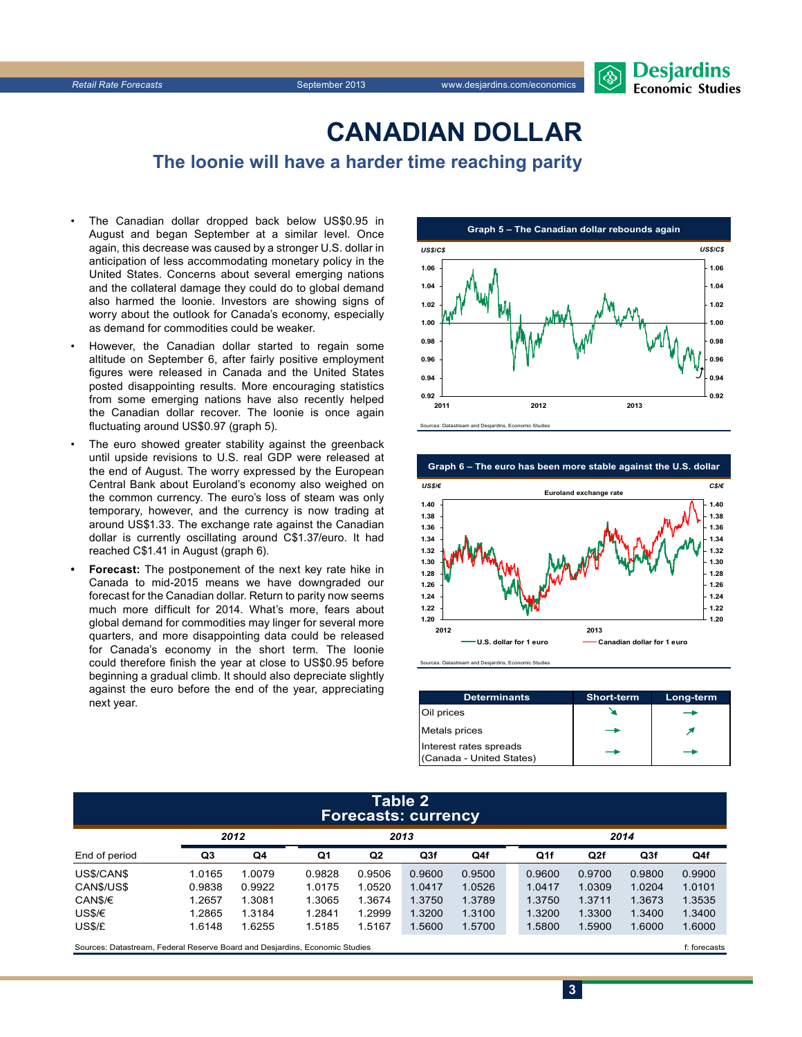## **CanadiAn Dollar**

**The loonie will have a harder time reaching parity**

- The Canadian dollar dropped back below US\$0.95 in August and began September at a similar level. Once again, this decrease was caused by a stronger U.S. dollar in anticipation of less accommodating monetary policy in the United States. Concerns about several emerging nations and the collateral damage they could do to global demand also harmed the loonie. Investors are showing signs of worry about the outlook for Canada's economy, especially as demand for commodities could be weaker.
- However, the Canadian dollar started to regain some altitude on September 6, after fairly positive employment figures were released in Canada and the United States posted disappointing results. More encouraging statistics from some emerging nations have also recently helped the Canadian dollar recover. The loonie is once again fluctuating around US\$0.97 (graph 5).
- The euro showed greater stability against the greenback until upside revisions to U.S. real GDP were released at the end of August. The worry expressed by the European Central Bank about Euroland's economy also weighed on the common currency. The euro's loss of steam was only temporary, however, and the currency is now trading at around US\$1.33. The exchange rate against the Canadian dollar is currently oscillating around C\$1.37/euro. It had reached C\$1.41 in August (graph 6).
- **Forecast:** The postponement of the next key rate hike in Canada to mid-2015 means we have downgraded our forecast for the Canadian dollar. Return to parity now seems much more difficult for 2014. What's more, fears about global demand for commodities may linger for several more quarters, and more disappointing data could be released for Canada's economy in the short term. The loonie could therefore finish the year at close to US\$0.95 before beginning a gradual climb. It should also depreciate slightly against the euro before the end of the year, appreciating next year.





and Desjardins, Economic

| <b>Determinants</b>                                | <b>Short-term</b> | Long-term |
|----------------------------------------------------|-------------------|-----------|
| Oil prices                                         |                   |           |
| <b>Metals</b> prices                               |                   |           |
| Interest rates spreads<br>(Canada - United States) |                   |           |

**3**

#### **Table 2 Forecasts: currency**

|               | 2012   |        | 2013   |        |        |        |  | 2014   |        |                 |        |
|---------------|--------|--------|--------|--------|--------|--------|--|--------|--------|-----------------|--------|
| End of period | Q3     | Q4     | Q1     | Q2     | Q3f    | Q4f    |  | Q1f    | Q2f    | Q <sub>3f</sub> | Q4f    |
| US\$/CAN\$    | 1.0165 | 1.0079 | 0.9828 | 0.9506 | 0.9600 | 0.9500 |  | 0.9600 | 0.9700 | 0.9800          | 0.9900 |
| CAN\$/US\$    | 0.9838 | 0.9922 | 1.0175 | 1.0520 | 1.0417 | 1.0526 |  | 1.0417 | 1.0309 | 1.0204          | 1.0101 |
| CAN\$/€       | 1.2657 | 1.3081 | 1.3065 | 1.3674 | 1.3750 | 1.3789 |  | 1.3750 | 1.3711 | 1.3673          | 1.3535 |
| US\$/€        | 1.2865 | 1.3184 | 1.2841 | 1.2999 | 1.3200 | 1.3100 |  | 1.3200 | 1.3300 | 1.3400          | 1.3400 |
| US\$/£        | 1.6148 | .6255  | 1.5185 | 1.5167 | 1.5600 | 1.5700 |  | 1.5800 | .5900  | 1.6000          | 1.6000 |
|               |        |        |        |        |        |        |  |        |        |                 |        |

Sources: Datastream, Federal Reserve Board and Desjardins, Economic Studies file of the case of the case of the case of the case of the case of the case of the case of the case of the case of the case of the case of the ca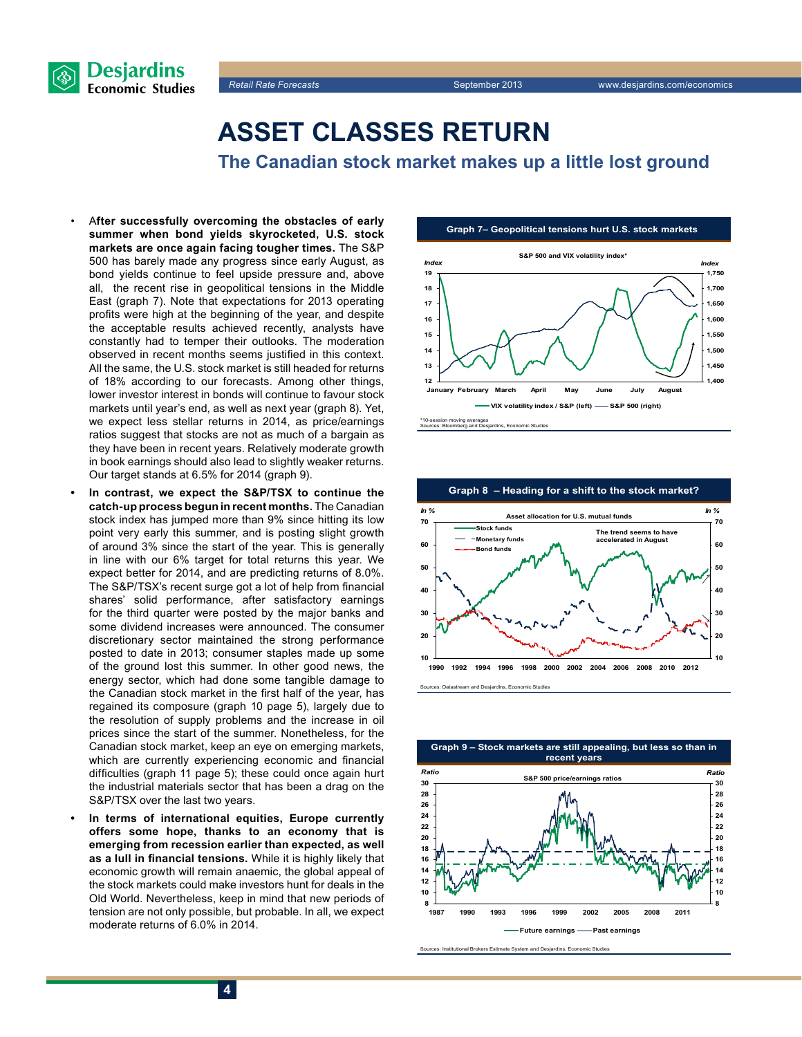

## **Asset classes return**

**The Canadian stock market makes up a little lost ground**

- A**fter successfully overcoming the obstacles of early summer when bond yields skyrocketed, U.S. stock markets are once again facing tougher times.** The S&P 500 has barely made any progress since early August, as bond yields continue to feel upside pressure and, above all, the recent rise in geopolitical tensions in the Middle East (graph 7). Note that expectations for 2013 operating profits were high at the beginning of the year, and despite the acceptable results achieved recently, analysts have constantly had to temper their outlooks. The moderation observed in recent months seems justified in this context. All the same, the U.S. stock market is still headed for returns of 18% according to our forecasts. Among other things, lower investor interest in bonds will continue to favour stock markets until year's end, as well as next year (graph 8). Yet, we expect less stellar returns in 2014, as price/earnings ratios suggest that stocks are not as much of a bargain as they have been in recent years. Relatively moderate growth in book earnings should also lead to slightly weaker returns. Our target stands at 6.5% for 2014 (graph 9).
- In contrast, we expect the S&P/TSX to continue the **catch-up process begun in recent months.** The Canadian stock index has jumped more than 9% since hitting its low point very early this summer, and is posting slight growth of around 3% since the start of the year. This is generally in line with our 6% target for total returns this year. We expect better for 2014, and are predicting returns of 8.0%. The S&P/TSX's recent surge got a lot of help from financial shares' solid performance, after satisfactory earnings for the third quarter were posted by the major banks and some dividend increases were announced. The consumer discretionary sector maintained the strong performance posted to date in 2013; consumer staples made up some of the ground lost this summer. In other good news, the energy sector, which had done some tangible damage to the Canadian stock market in the first half of the year, has regained its composure (graph 10 page 5), largely due to the resolution of supply problems and the increase in oil prices since the start of the summer. Nonetheless, for the Canadian stock market, keep an eye on emerging markets, which are currently experiencing economic and financial difficulties (graph 11 page 5); these could once again hurt the industrial materials sector that has been a drag on the S&P/TSX over the last two years.
- In terms of international equities, Europe currently **offers some hope, thanks to an economy that is emerging from recession earlier than expected, as well as a lull in financial tensions.** While it is highly likely that economic growth will remain anaemic, the global appeal of the stock markets could make investors hunt for deals in the Old World. Nevertheless, keep in mind that new periods of tension are not only possible, but probable. In all, we expect moderate returns of 6.0% in 2014.





Sources: Datastream and Desjardins, Economic Studies